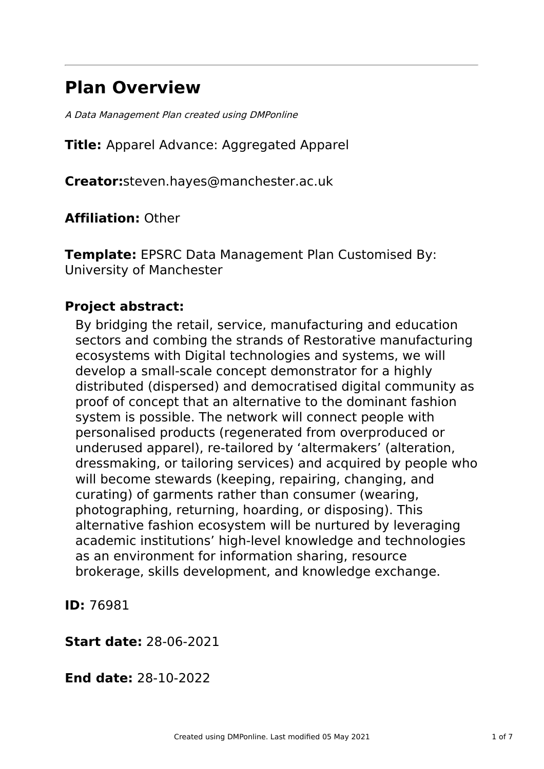# **Plan Overview**

A Data Management Plan created using DMPonline

**Title:** Apparel Advance: Aggregated Apparel

**Creator:**steven.hayes@manchester.ac.uk

**Affiliation:** Other

**Template:** EPSRC Data Management Plan Customised By: University of Manchester

# **Project abstract:**

By bridging the retail, service, manufacturing and education sectors and combing the strands of Restorative manufacturing ecosystems with Digital technologies and systems, we will develop a small-scale concept demonstrator for a highly distributed (dispersed) and democratised digital community as proof of concept that an alternative to the dominant fashion system is possible. The network will connect people with personalised products (regenerated from overproduced or underused apparel), re-tailored by 'altermakers' (alteration, dressmaking, or tailoring services) and acquired by people who will become stewards (keeping, repairing, changing, and curating) of garments rather than consumer (wearing, photographing, returning, hoarding, or disposing). This alternative fashion ecosystem will be nurtured by leveraging academic institutions' high-level knowledge and technologies as an environment for information sharing, resource brokerage, skills development, and knowledge exchange.

**ID:** 76981

**Start date:** 28-06-2021

**End date:** 28-10-2022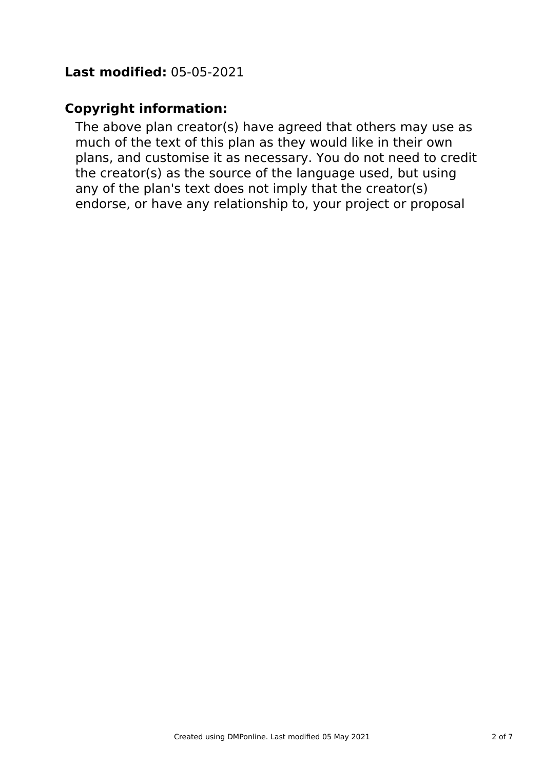# **Last modified:** 05-05-2021

# **Copyright information:**

The above plan creator(s) have agreed that others may use as much of the text of this plan as they would like in their own plans, and customise it as necessary. You do not need to credit the creator(s) as the source of the language used, but using any of the plan's text does not imply that the creator(s) endorse, or have any relationship to, your project or proposal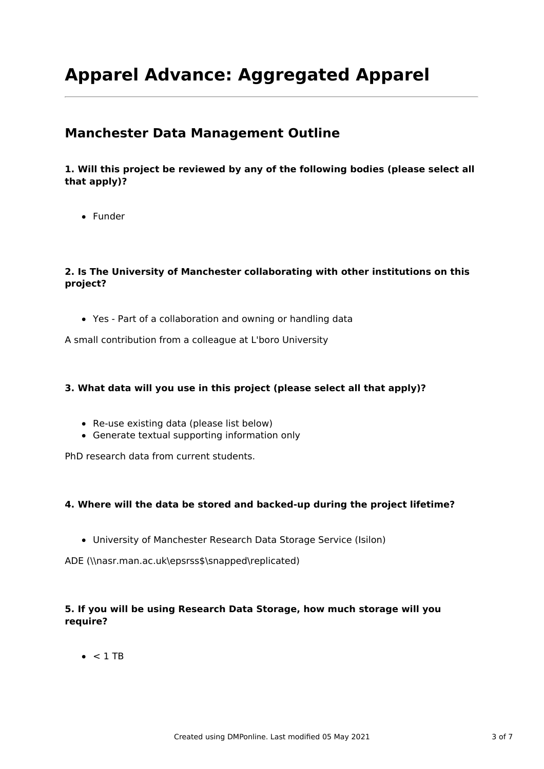# **Apparel Advance: Aggregated Apparel**

# **Manchester Data Management Outline**

**1. Will this project be reviewed by any of the following bodies (please select all that apply)?**

Funder

## **2. Is The University of Manchester collaborating with other institutions on this project?**

Yes - Part of a collaboration and owning or handling data

A small contribution from a colleague at L'boro University

### **3. What data will you use in this project (please select all that apply)?**

- Re-use existing data (please list below)
- Generate textual supporting information only

PhD research data from current students.

### **4. Where will the data be stored and backed-up during the project lifetime?**

University of Manchester Research Data Storage Service (Isilon)

ADE (\\nasr.man.ac.uk\epsrss\$\snapped\replicated)

## **5. If you will be using Research Data Storage, how much storage will you require?**

 $\bullet$  < 1 TB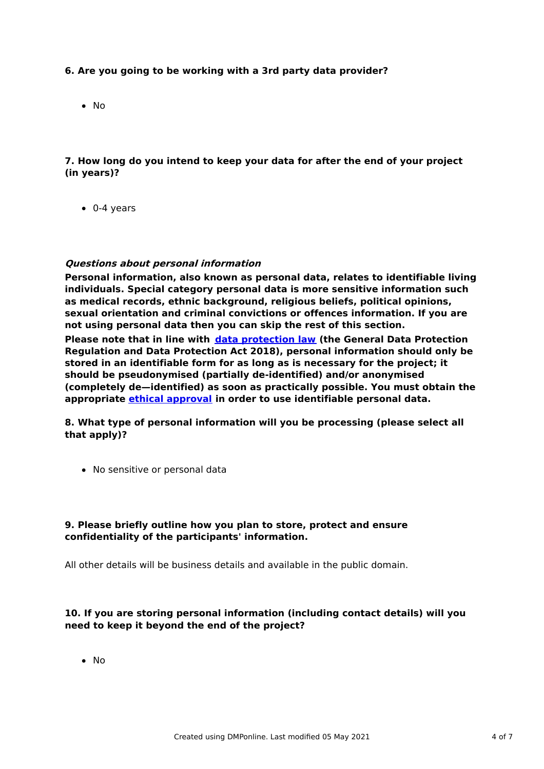### **6. Are you going to be working with a 3rd party data provider?**

• No

## **7. How long do you intend to keep your data for after the end of your project (in years)?**

 $\bullet$  0-4 years

#### **Questions about personal information**

**Personal information, also known as personal data, relates to identifiable living individuals. Special category personal data is more sensitive information such as medical records, ethnic background, religious beliefs, political opinions, sexual orientation and criminal convictions or offences information. If you are not using personal data then you can skip the rest of this section. Please note that in line with data [protection](http://www.staffnet.manchester.ac.uk/igo/data-protection/what-is-data-protection/) law (the General Data Protection Regulation and Data Protection Act 2018), personal information should only be stored in an identifiable form for as long as is necessary for the project; it should be pseudonymised (partially de-identified) and/or anonymised (completely de—identified) as soon as practically possible. You must obtain the appropriate ethical [approval](http://www.staffnet.manchester.ac.uk/services/rbess/governance/ethics/new-online-system-for-ethics-review-erm/) in order to use identifiable personal data.**

**8. What type of personal information will you be processing (please select all that apply)?**

• No sensitive or personal data

#### **9. Please briefly outline how you plan to store, protect and ensure confidentiality of the participants' information.**

All other details will be business details and available in the public domain.

### **10. If you are storing personal information (including contact details) will you need to keep it beyond the end of the project?**

 $\bullet$  No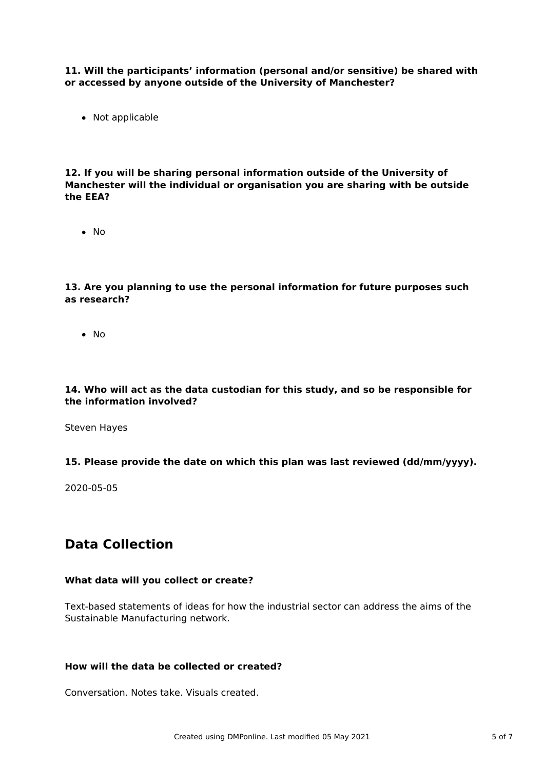**11. Will the participants' information (personal and/or sensitive) be shared with or accessed by anyone outside of the University of Manchester?**

• Not applicable

**12. If you will be sharing personal information outside of the University of Manchester will the individual or organisation you are sharing with be outside the EEA?**

 $\bullet$  No

**13. Are you planning to use the personal information for future purposes such as research?**

 $\bullet$  No

#### **14. Who will act as the data custodian for this study, and so be responsible for the information involved?**

Steven Hayes

#### **15. Please provide the date on which this plan was last reviewed (dd/mm/yyyy).**

2020-05-05

# **Data Collection**

#### **What data will you collect or create?**

Text-based statements of ideas for how the industrial sector can address the aims of the Sustainable Manufacturing network.

#### **How will the data be collected or created?**

Conversation. Notes take. Visuals created.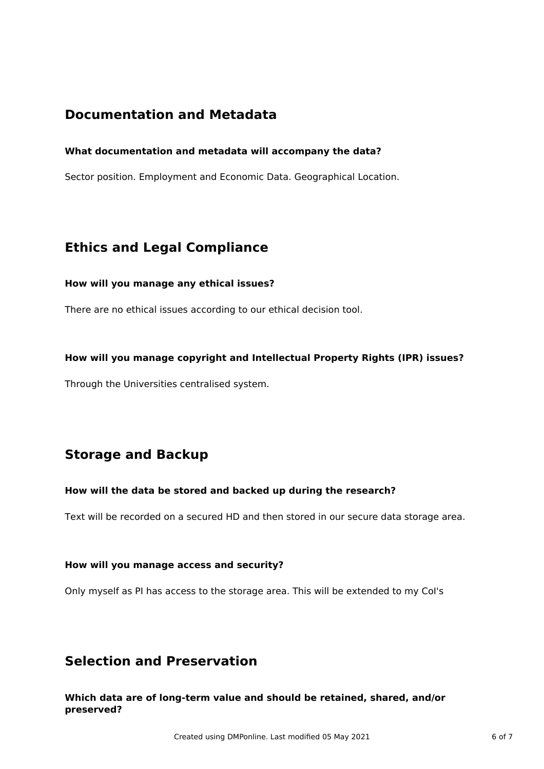# **Documentation and Metadata**

### **What documentation and metadata will accompany the data?**

Sector position. Employment and Economic Data. Geographical Location.

# **Ethics and Legal Compliance**

#### **How will you manage any ethical issues?**

There are no ethical issues according to our ethical decision tool.

### **How will you manage copyright and Intellectual Property Rights (IPR) issues?**

Through the Universities centralised system.

# **Storage and Backup**

### **How will the data be stored and backed up during the research?**

Text will be recorded on a secured HD and then stored in our secure data storage area.

### **How will you manage access and security?**

Only myself as PI has access to the storage area. This will be extended to my CoI's

# **Selection and Preservation**

**Which data are of long-term value and should be retained, shared, and/or preserved?**